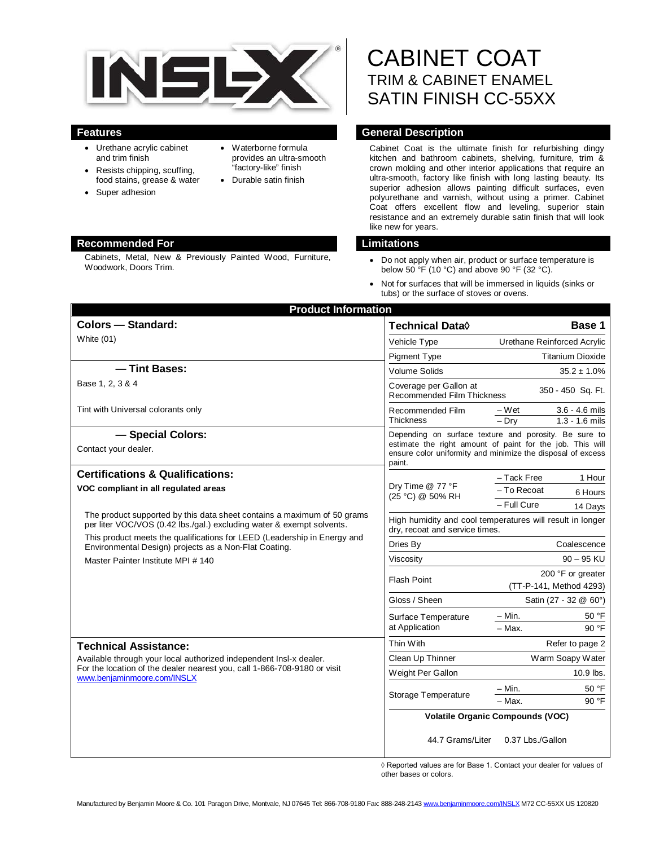

- Urethane acrylic cabinet and trim finish
- Resists chipping, scuffing, food stains, grease & water
- Super adhesion
- Waterborne formula provides an ultra-smooth "factory-like" finish
- Durable satin finish

# **Recommended For Limitations**

Cabinets, Metal, New & Previously Painted Wood, Furniture, Cabinets, Metal, New & Previously Painted Wood, Furniture, <br>Woodwork, Doors Trim.<br>Moodwork, Doors Trim.

# CABINET COAT TRIM & CABINET ENAMEL SATIN FINISH CC-55XX

# **Features General Description**

Cabinet Coat is the ultimate finish for refurbishing dingy kitchen and bathroom cabinets, shelving, furniture, trim & crown molding and other interior applications that require an ultra-smooth, factory like finish with long lasting beauty. Its superior adhesion allows painting difficult surfaces, even polyurethane and varnish, without using a primer. Cabinet Coat offers excellent flow and leveling, superior stain resistance and an extremely durable satin finish that will look like new for years.

- below 50  $\overline{P}$  (10 °C) and above 90 °F (32 °C).
- Not for surfaces that will be immersed in liquids (sinks or tubs) or the surface of stoves or ovens.

| <b>Product Information</b>                                                                                                                                                    |                                                                                                                                                                                   |                                                          |
|-------------------------------------------------------------------------------------------------------------------------------------------------------------------------------|-----------------------------------------------------------------------------------------------------------------------------------------------------------------------------------|----------------------------------------------------------|
| <b>Colors - Standard:</b>                                                                                                                                                     | Technical Data <b>◊</b>                                                                                                                                                           | Base 1                                                   |
| White $(01)$                                                                                                                                                                  | Vehicle Type                                                                                                                                                                      | Urethane Reinforced Acrylic                              |
|                                                                                                                                                                               | <b>Pigment Type</b>                                                                                                                                                               | <b>Titanium Dioxide</b>                                  |
| - Tint Bases:                                                                                                                                                                 | <b>Volume Solids</b>                                                                                                                                                              | $35.2\pm1.0\%$                                           |
| Base 1, 2, 3 & 4                                                                                                                                                              | Coverage per Gallon at<br>Recommended Film Thickness                                                                                                                              | 350 - 450 Sq. Ft.                                        |
| Tint with Universal colorants only                                                                                                                                            | Recommended Film<br><b>Thickness</b>                                                                                                                                              | $3.6 - 4.6$ mils<br>– Wet<br>$-$ Dry<br>$1.3 - 1.6$ mils |
| - Special Colors:<br>Contact your dealer.                                                                                                                                     | Depending on surface texture and porosity. Be sure to<br>estimate the right amount of paint for the job. This will<br>ensure color uniformity and minimize the disposal of excess |                                                          |
| <b>Certifications &amp; Qualifications:</b>                                                                                                                                   | paint.                                                                                                                                                                            |                                                          |
| VOC compliant in all regulated areas                                                                                                                                          | Dry Time @ 77 °F                                                                                                                                                                  | 1 Hour<br>- Tack Free<br>- To Recoat                     |
|                                                                                                                                                                               | (25 °C) @ 50% RH                                                                                                                                                                  | 6 Hours<br>- Full Cure<br>14 Days                        |
| The product supported by this data sheet contains a maximum of 50 grams<br>per liter VOC/VOS (0.42 lbs./gal.) excluding water & exempt solvents.                              | High humidity and cool temperatures will result in longer<br>dry, recoat and service times.                                                                                       |                                                          |
| This product meets the qualifications for LEED (Leadership in Energy and<br>Environmental Design) projects as a Non-Flat Coating.<br>Master Painter Institute MPI # 140       | Dries By                                                                                                                                                                          | Coalescence                                              |
|                                                                                                                                                                               | Viscosity                                                                                                                                                                         | $90 - 95$ KU                                             |
|                                                                                                                                                                               | <b>Flash Point</b>                                                                                                                                                                | 200 °F or greater<br>(TT-P-141, Method 4293)             |
|                                                                                                                                                                               | Gloss / Sheen                                                                                                                                                                     | Satin (27 - 32 @ 60°)                                    |
|                                                                                                                                                                               | Surface Temperature<br>at Application                                                                                                                                             | $-$ Min.<br>50 °F<br>- Max.<br>90 °F                     |
| <b>Technical Assistance:</b>                                                                                                                                                  | Thin With                                                                                                                                                                         | Refer to page 2                                          |
| Available through your local authorized independent Insl-x dealer.<br>For the location of the dealer nearest you, call 1-866-708-9180 or visit<br>www.benjaminmoore.com/INSLX | Clean Up Thinner                                                                                                                                                                  | Warm Soapy Water                                         |
|                                                                                                                                                                               | Weight Per Gallon                                                                                                                                                                 | 10.9 lbs.                                                |
|                                                                                                                                                                               | <b>Storage Temperature</b>                                                                                                                                                        | 50 °F<br>- Min.                                          |
|                                                                                                                                                                               |                                                                                                                                                                                   | 90 °F<br>- Max.                                          |
|                                                                                                                                                                               | <b>Volatile Organic Compounds (VOC)</b>                                                                                                                                           |                                                          |
|                                                                                                                                                                               | 44.7 Grams/Liter                                                                                                                                                                  | 0.37 Lbs./Gallon                                         |

◊ Reported values are for Base 1. Contact your dealer for values of other bases or colors.